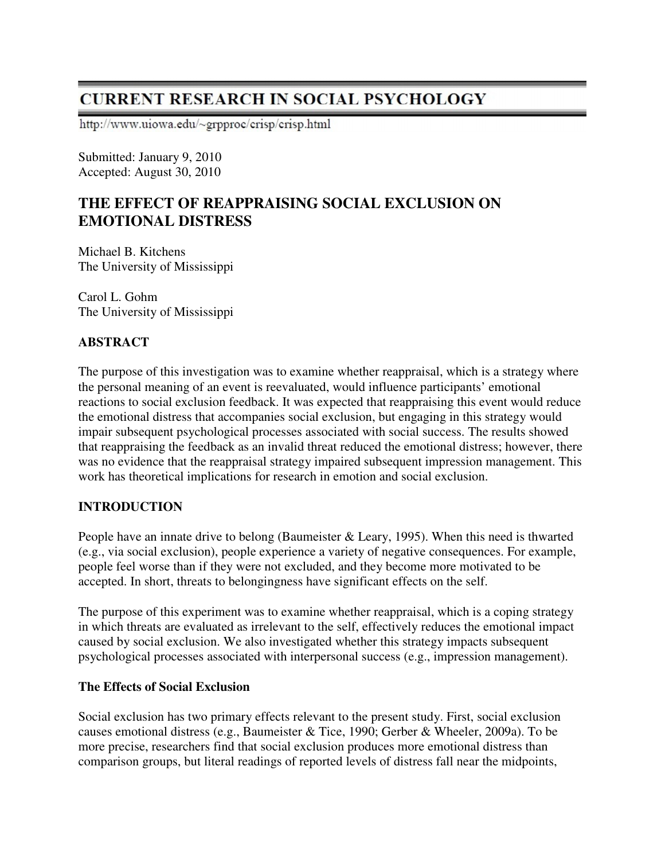# **CURRENT RESEARCH IN SOCIAL PSYCHOLOGY**

http://www.uiowa.edu/~grpproc/crisp/crisp.html

Submitted: January 9, 2010 Accepted: August 30, 2010

# **THE EFFECT OF REAPPRAISING SOCIAL EXCLUSION ON EMOTIONAL DISTRESS**

Michael B. Kitchens The University of Mississippi

Carol L. Gohm The University of Mississippi

# **ABSTRACT**

The purpose of this investigation was to examine whether reappraisal, which is a strategy where the personal meaning of an event is reevaluated, would influence participants' emotional reactions to social exclusion feedback. It was expected that reappraising this event would reduce the emotional distress that accompanies social exclusion, but engaging in this strategy would impair subsequent psychological processes associated with social success. The results showed that reappraising the feedback as an invalid threat reduced the emotional distress; however, there was no evidence that the reappraisal strategy impaired subsequent impression management. This work has theoretical implications for research in emotion and social exclusion.

## **INTRODUCTION**

People have an innate drive to belong (Baumeister & Leary, 1995). When this need is thwarted (e.g., via social exclusion), people experience a variety of negative consequences. For example, people feel worse than if they were not excluded, and they become more motivated to be accepted. In short, threats to belongingness have significant effects on the self.

The purpose of this experiment was to examine whether reappraisal, which is a coping strategy in which threats are evaluated as irrelevant to the self, effectively reduces the emotional impact caused by social exclusion. We also investigated whether this strategy impacts subsequent psychological processes associated with interpersonal success (e.g., impression management).

#### **The Effects of Social Exclusion**

Social exclusion has two primary effects relevant to the present study. First, social exclusion causes emotional distress (e.g., Baumeister & Tice, 1990; Gerber & Wheeler, 2009a). To be more precise, researchers find that social exclusion produces more emotional distress than comparison groups, but literal readings of reported levels of distress fall near the midpoints,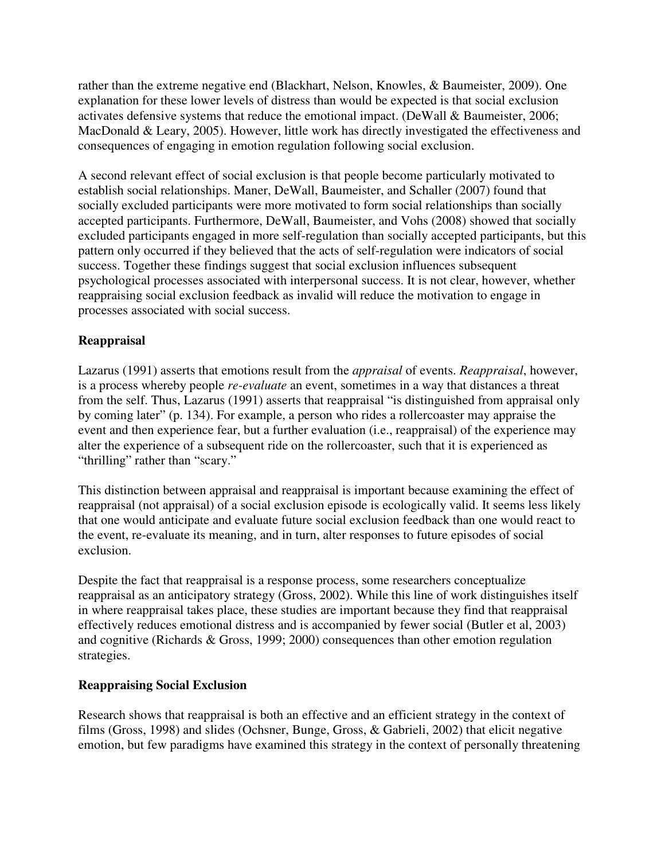rather than the extreme negative end (Blackhart, Nelson, Knowles, & Baumeister, 2009). One explanation for these lower levels of distress than would be expected is that social exclusion activates defensive systems that reduce the emotional impact. (DeWall & Baumeister, 2006; MacDonald & Leary, 2005). However, little work has directly investigated the effectiveness and consequences of engaging in emotion regulation following social exclusion.

A second relevant effect of social exclusion is that people become particularly motivated to establish social relationships. Maner, DeWall, Baumeister, and Schaller (2007) found that socially excluded participants were more motivated to form social relationships than socially accepted participants. Furthermore, DeWall, Baumeister, and Vohs (2008) showed that socially excluded participants engaged in more self-regulation than socially accepted participants, but this pattern only occurred if they believed that the acts of self-regulation were indicators of social success. Together these findings suggest that social exclusion influences subsequent psychological processes associated with interpersonal success. It is not clear, however, whether reappraising social exclusion feedback as invalid will reduce the motivation to engage in processes associated with social success.

# **Reappraisal**

Lazarus (1991) asserts that emotions result from the *appraisal* of events. *Reappraisal*, however, is a process whereby people *re-evaluate* an event, sometimes in a way that distances a threat from the self. Thus, Lazarus (1991) asserts that reappraisal "is distinguished from appraisal only by coming later" (p. 134). For example, a person who rides a rollercoaster may appraise the event and then experience fear, but a further evaluation (i.e., reappraisal) of the experience may alter the experience of a subsequent ride on the rollercoaster, such that it is experienced as "thrilling" rather than "scary."

This distinction between appraisal and reappraisal is important because examining the effect of reappraisal (not appraisal) of a social exclusion episode is ecologically valid. It seems less likely that one would anticipate and evaluate future social exclusion feedback than one would react to the event, re-evaluate its meaning, and in turn, alter responses to future episodes of social exclusion.

Despite the fact that reappraisal is a response process, some researchers conceptualize reappraisal as an anticipatory strategy (Gross, 2002). While this line of work distinguishes itself in where reappraisal takes place, these studies are important because they find that reappraisal effectively reduces emotional distress and is accompanied by fewer social (Butler et al, 2003) and cognitive (Richards & Gross, 1999; 2000) consequences than other emotion regulation strategies.

## **Reappraising Social Exclusion**

Research shows that reappraisal is both an effective and an efficient strategy in the context of films (Gross, 1998) and slides (Ochsner, Bunge, Gross, & Gabrieli, 2002) that elicit negative emotion, but few paradigms have examined this strategy in the context of personally threatening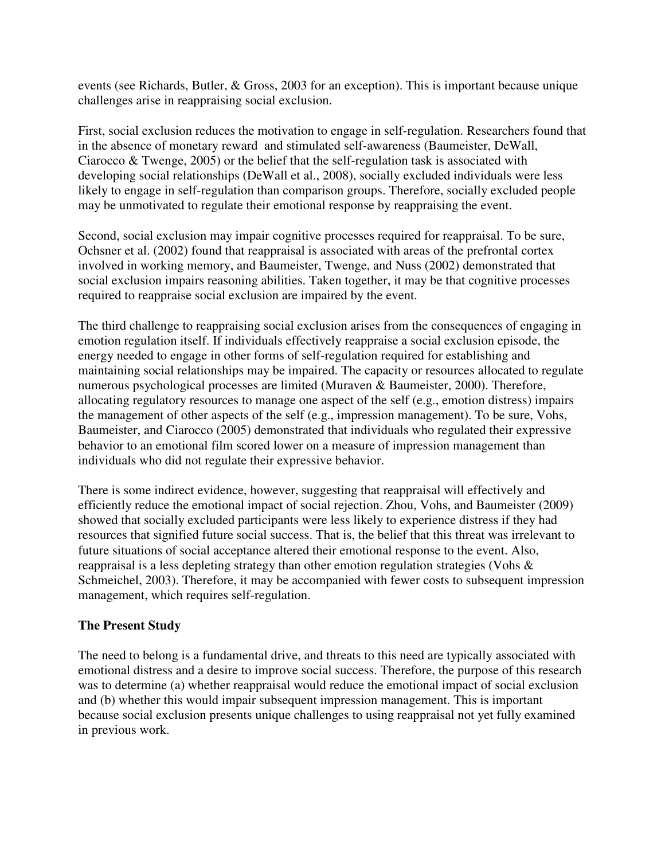events (see Richards, Butler, & Gross, 2003 for an exception). This is important because unique challenges arise in reappraising social exclusion.

First, social exclusion reduces the motivation to engage in self-regulation. Researchers found that in the absence of monetary reward and stimulated self-awareness (Baumeister, DeWall, Ciarocco  $\&$  Twenge, 2005) or the belief that the self-regulation task is associated with developing social relationships (DeWall et al., 2008), socially excluded individuals were less likely to engage in self-regulation than comparison groups. Therefore, socially excluded people may be unmotivated to regulate their emotional response by reappraising the event.

Second, social exclusion may impair cognitive processes required for reappraisal. To be sure, Ochsner et al. (2002) found that reappraisal is associated with areas of the prefrontal cortex involved in working memory, and Baumeister, Twenge, and Nuss (2002) demonstrated that social exclusion impairs reasoning abilities. Taken together, it may be that cognitive processes required to reappraise social exclusion are impaired by the event.

The third challenge to reappraising social exclusion arises from the consequences of engaging in emotion regulation itself. If individuals effectively reappraise a social exclusion episode, the energy needed to engage in other forms of self-regulation required for establishing and maintaining social relationships may be impaired. The capacity or resources allocated to regulate numerous psychological processes are limited (Muraven & Baumeister, 2000). Therefore, allocating regulatory resources to manage one aspect of the self (e.g., emotion distress) impairs the management of other aspects of the self (e.g., impression management). To be sure, Vohs, Baumeister, and Ciarocco (2005) demonstrated that individuals who regulated their expressive behavior to an emotional film scored lower on a measure of impression management than individuals who did not regulate their expressive behavior.

There is some indirect evidence, however, suggesting that reappraisal will effectively and efficiently reduce the emotional impact of social rejection. Zhou, Vohs, and Baumeister (2009) showed that socially excluded participants were less likely to experience distress if they had resources that signified future social success. That is, the belief that this threat was irrelevant to future situations of social acceptance altered their emotional response to the event. Also, reappraisal is a less depleting strategy than other emotion regulation strategies (Vohs & Schmeichel, 2003). Therefore, it may be accompanied with fewer costs to subsequent impression management, which requires self-regulation.

## **The Present Study**

The need to belong is a fundamental drive, and threats to this need are typically associated with emotional distress and a desire to improve social success. Therefore, the purpose of this research was to determine (a) whether reappraisal would reduce the emotional impact of social exclusion and (b) whether this would impair subsequent impression management. This is important because social exclusion presents unique challenges to using reappraisal not yet fully examined in previous work.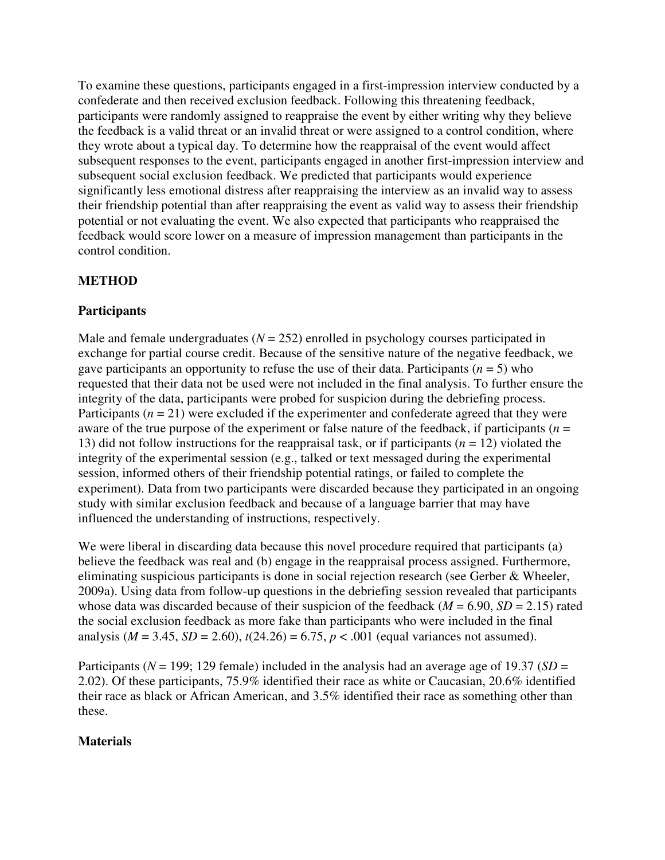To examine these questions, participants engaged in a first-impression interview conducted by a confederate and then received exclusion feedback. Following this threatening feedback, participants were randomly assigned to reappraise the event by either writing why they believe the feedback is a valid threat or an invalid threat or were assigned to a control condition, where they wrote about a typical day. To determine how the reappraisal of the event would affect subsequent responses to the event, participants engaged in another first-impression interview and subsequent social exclusion feedback. We predicted that participants would experience significantly less emotional distress after reappraising the interview as an invalid way to assess their friendship potential than after reappraising the event as valid way to assess their friendship potential or not evaluating the event. We also expected that participants who reappraised the feedback would score lower on a measure of impression management than participants in the control condition.

# **METHOD**

#### **Participants**

Male and female undergraduates  $(N = 252)$  enrolled in psychology courses participated in exchange for partial course credit. Because of the sensitive nature of the negative feedback, we gave participants an opportunity to refuse the use of their data. Participants  $(n = 5)$  who requested that their data not be used were not included in the final analysis. To further ensure the integrity of the data, participants were probed for suspicion during the debriefing process. Participants  $(n = 21)$  were excluded if the experimenter and confederate agreed that they were aware of the true purpose of the experiment or false nature of the feedback, if participants ( $n =$ 13) did not follow instructions for the reappraisal task, or if participants (*n* = 12) violated the integrity of the experimental session (e.g., talked or text messaged during the experimental session, informed others of their friendship potential ratings, or failed to complete the experiment). Data from two participants were discarded because they participated in an ongoing study with similar exclusion feedback and because of a language barrier that may have influenced the understanding of instructions, respectively.

We were liberal in discarding data because this novel procedure required that participants (a) believe the feedback was real and (b) engage in the reappraisal process assigned. Furthermore, eliminating suspicious participants is done in social rejection research (see Gerber & Wheeler, 2009a). Using data from follow-up questions in the debriefing session revealed that participants whose data was discarded because of their suspicion of the feedback ( $M = 6.90$ ,  $SD = 2.15$ ) rated the social exclusion feedback as more fake than participants who were included in the final analysis ( $M = 3.45$ ,  $SD = 2.60$ ),  $t(24.26) = 6.75$ ,  $p < .001$  (equal variances not assumed).

Participants (*N* = 199; 129 female) included in the analysis had an average age of 19.37 (*SD* = 2.02). Of these participants, 75.9% identified their race as white or Caucasian, 20.6% identified their race as black or African American, and 3.5% identified their race as something other than these.

#### **Materials**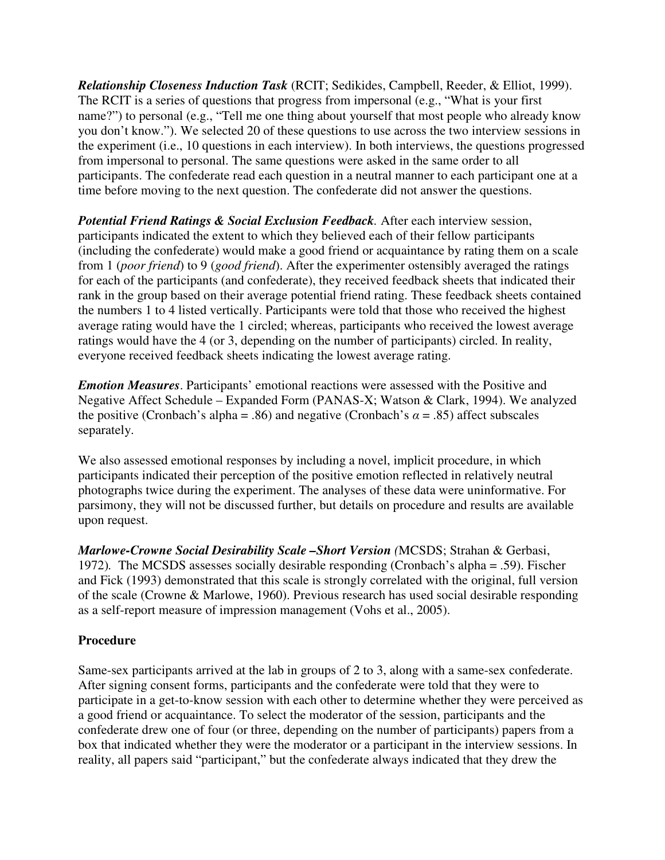*Relationship Closeness Induction Task* (RCIT; Sedikides, Campbell, Reeder, & Elliot, 1999). The RCIT is a series of questions that progress from impersonal (e.g., "What is your first name?") to personal (e.g., "Tell me one thing about yourself that most people who already know you don't know."). We selected 20 of these questions to use across the two interview sessions in the experiment (i.e., 10 questions in each interview). In both interviews, the questions progressed from impersonal to personal. The same questions were asked in the same order to all participants. The confederate read each question in a neutral manner to each participant one at a time before moving to the next question. The confederate did not answer the questions.

*Potential Friend Ratings & Social Exclusion Feedback.* After each interview session, participants indicated the extent to which they believed each of their fellow participants (including the confederate) would make a good friend or acquaintance by rating them on a scale from 1 (*poor friend*) to 9 (*good friend*). After the experimenter ostensibly averaged the ratings for each of the participants (and confederate), they received feedback sheets that indicated their rank in the group based on their average potential friend rating. These feedback sheets contained the numbers 1 to 4 listed vertically. Participants were told that those who received the highest average rating would have the 1 circled; whereas, participants who received the lowest average ratings would have the 4 (or 3, depending on the number of participants) circled. In reality, everyone received feedback sheets indicating the lowest average rating.

*Emotion Measures*. Participants' emotional reactions were assessed with the Positive and Negative Affect Schedule – Expanded Form (PANAS-X; Watson & Clark, 1994). We analyzed the positive (Cronbach's alpha = .86) and negative (Cronbach's  $\alpha$  = .85) affect subscales separately.

We also assessed emotional responses by including a novel, implicit procedure, in which participants indicated their perception of the positive emotion reflected in relatively neutral photographs twice during the experiment. The analyses of these data were uninformative. For parsimony, they will not be discussed further, but details on procedure and results are available upon request.

*Marlowe-Crowne Social Desirability Scale –Short Version (*MCSDS; Strahan & Gerbasi, 1972)*.* The MCSDS assesses socially desirable responding (Cronbach's alpha = .59). Fischer and Fick (1993) demonstrated that this scale is strongly correlated with the original, full version of the scale (Crowne & Marlowe, 1960). Previous research has used social desirable responding as a self-report measure of impression management (Vohs et al., 2005).

## **Procedure**

Same-sex participants arrived at the lab in groups of 2 to 3, along with a same-sex confederate. After signing consent forms, participants and the confederate were told that they were to participate in a get-to-know session with each other to determine whether they were perceived as a good friend or acquaintance. To select the moderator of the session, participants and the confederate drew one of four (or three, depending on the number of participants) papers from a box that indicated whether they were the moderator or a participant in the interview sessions. In reality, all papers said "participant," but the confederate always indicated that they drew the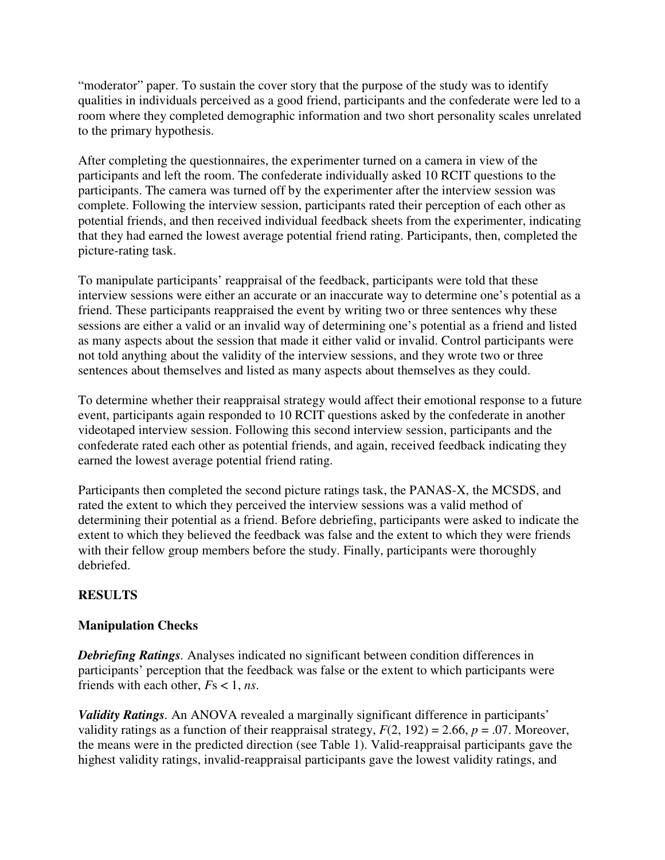"moderator" paper. To sustain the cover story that the purpose of the study was to identify qualities in individuals perceived as a good friend, participants and the confederate were led to a room where they completed demographic information and two short personality scales unrelated to the primary hypothesis.

After completing the questionnaires, the experimenter turned on a camera in view of the participants and left the room. The confederate individually asked 10 RCIT questions to the participants. The camera was turned off by the experimenter after the interview session was complete. Following the interview session, participants rated their perception of each other as potential friends, and then received individual feedback sheets from the experimenter, indicating that they had earned the lowest average potential friend rating. Participants, then, completed the picture-rating task.

To manipulate participants' reappraisal of the feedback, participants were told that these interview sessions were either an accurate or an inaccurate way to determine one's potential as a friend. These participants reappraised the event by writing two or three sentences why these sessions are either a valid or an invalid way of determining one's potential as a friend and listed as many aspects about the session that made it either valid or invalid. Control participants were not told anything about the validity of the interview sessions, and they wrote two or three sentences about themselves and listed as many aspects about themselves as they could.

To determine whether their reappraisal strategy would affect their emotional response to a future event, participants again responded to 10 RCIT questions asked by the confederate in another videotaped interview session. Following this second interview session, participants and the confederate rated each other as potential friends, and again, received feedback indicating they earned the lowest average potential friend rating.

Participants then completed the second picture ratings task, the PANAS-X, the MCSDS, and rated the extent to which they perceived the interview sessions was a valid method of determining their potential as a friend. Before debriefing, participants were asked to indicate the extent to which they believed the feedback was false and the extent to which they were friends with their fellow group members before the study. Finally, participants were thoroughly debriefed.

## **RESULTS**

## **Manipulation Checks**

*Debriefing Ratings.* Analyses indicated no significant between condition differences in participants' perception that the feedback was false or the extent to which participants were friends with each other, *F*s < 1, *ns*.

*Validity Ratings.* An ANOVA revealed a marginally significant difference in participants' validity ratings as a function of their reappraisal strategy,  $F(2, 192) = 2.66$ ,  $p = .07$ . Moreover, the means were in the predicted direction (see Table 1). Valid-reappraisal participants gave the highest validity ratings, invalid-reappraisal participants gave the lowest validity ratings, and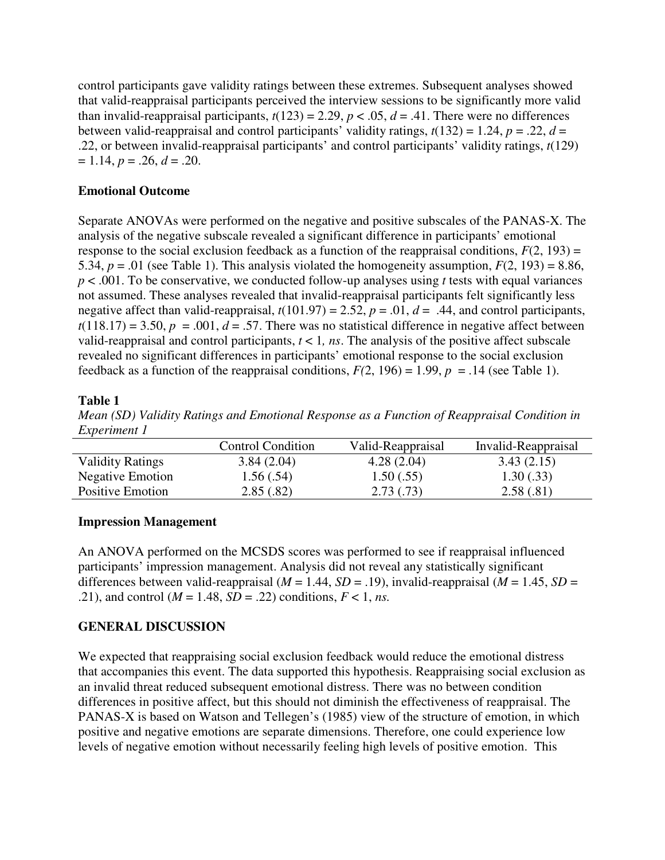control participants gave validity ratings between these extremes. Subsequent analyses showed that valid-reappraisal participants perceived the interview sessions to be significantly more valid than invalid-reappraisal participants,  $t(123) = 2.29$ ,  $p < .05$ ,  $d = .41$ . There were no differences between valid-reappraisal and control participants' validity ratings,  $t(132) = 1.24$ ,  $p = .22$ ,  $d =$ .22, or between invalid-reappraisal participants' and control participants' validity ratings, *t*(129)  $= 1.14, p = .26, d = .20.$ 

#### **Emotional Outcome**

Separate ANOVAs were performed on the negative and positive subscales of the PANAS-X. The analysis of the negative subscale revealed a significant difference in participants' emotional response to the social exclusion feedback as a function of the reappraisal conditions,  $F(2, 193) =$ 5.34,  $p = .01$  (see Table 1). This analysis violated the homogeneity assumption,  $F(2, 193) = 8.86$ , *p* < .001. To be conservative, we conducted follow-up analyses using *t* tests with equal variances not assumed. These analyses revealed that invalid-reappraisal participants felt significantly less negative affect than valid-reappraisal,  $t(101.97) = 2.52$ ,  $p = .01$ ,  $d = .44$ , and control participants,  $t(118.17) = 3.50, p = .001, d = .57$ . There was no statistical difference in negative affect between valid-reappraisal and control participants,  $t < 1$ , *ns*. The analysis of the positive affect subscale revealed no significant differences in participants' emotional response to the social exclusion feedback as a function of the reappraisal conditions,  $F(2, 196) = 1.99$ ,  $p = .14$  (see Table 1).

#### **Table 1**

*Mean (SD) Validity Ratings and Emotional Response as a Function of Reappraisal Condition in Experiment 1* 

|                         | <b>Control Condition</b> | Valid-Reappraisal | Invalid-Reappraisal |
|-------------------------|--------------------------|-------------------|---------------------|
| <b>Validity Ratings</b> | 3.84(2.04)               | 4.28(2.04)        | 3.43(2.15)          |
| <b>Negative Emotion</b> | 1.56(.54)                | 1.50(.55)         | 1.30(.33)           |
| Positive Emotion        | 2.85(.82)                | 2.73(0.73)        | 2.58(.81)           |

## **Impression Management**

An ANOVA performed on the MCSDS scores was performed to see if reappraisal influenced participants' impression management. Analysis did not reveal any statistically significant differences between valid-reappraisal ( $M = 1.44$ ,  $SD = .19$ ), invalid-reappraisal ( $M = 1.45$ ,  $SD =$ .21), and control ( $M = 1.48$ ,  $SD = .22$ ) conditions,  $F < 1$ , *ns*.

## **GENERAL DISCUSSION**

We expected that reappraising social exclusion feedback would reduce the emotional distress that accompanies this event. The data supported this hypothesis. Reappraising social exclusion as an invalid threat reduced subsequent emotional distress. There was no between condition differences in positive affect, but this should not diminish the effectiveness of reappraisal. The PANAS-X is based on Watson and Tellegen's (1985) view of the structure of emotion, in which positive and negative emotions are separate dimensions. Therefore, one could experience low levels of negative emotion without necessarily feeling high levels of positive emotion. This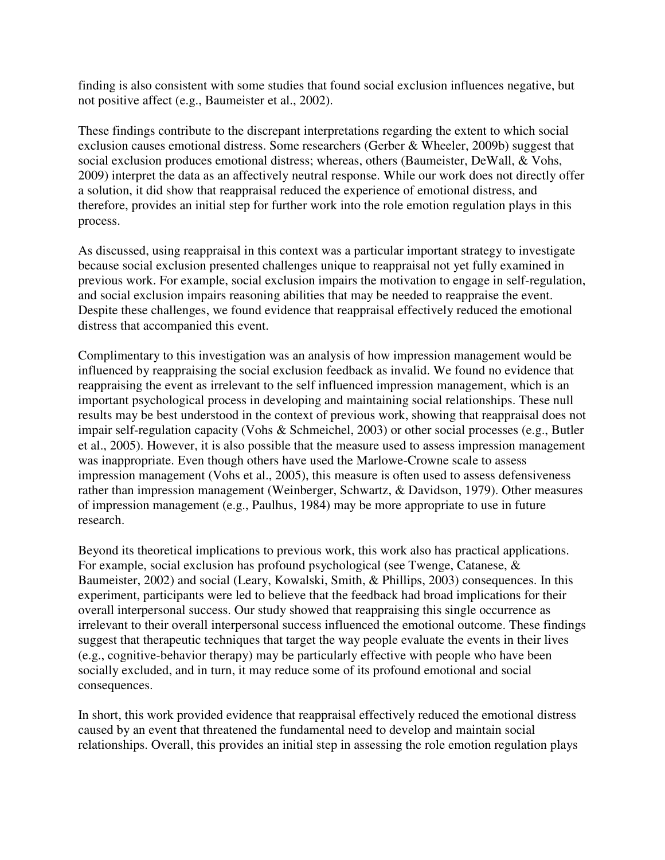finding is also consistent with some studies that found social exclusion influences negative, but not positive affect (e.g., Baumeister et al., 2002).

These findings contribute to the discrepant interpretations regarding the extent to which social exclusion causes emotional distress. Some researchers (Gerber & Wheeler, 2009b) suggest that social exclusion produces emotional distress; whereas, others (Baumeister, DeWall, & Vohs, 2009) interpret the data as an affectively neutral response. While our work does not directly offer a solution, it did show that reappraisal reduced the experience of emotional distress, and therefore, provides an initial step for further work into the role emotion regulation plays in this process.

As discussed, using reappraisal in this context was a particular important strategy to investigate because social exclusion presented challenges unique to reappraisal not yet fully examined in previous work. For example, social exclusion impairs the motivation to engage in self-regulation, and social exclusion impairs reasoning abilities that may be needed to reappraise the event. Despite these challenges, we found evidence that reappraisal effectively reduced the emotional distress that accompanied this event.

Complimentary to this investigation was an analysis of how impression management would be influenced by reappraising the social exclusion feedback as invalid. We found no evidence that reappraising the event as irrelevant to the self influenced impression management, which is an important psychological process in developing and maintaining social relationships. These null results may be best understood in the context of previous work, showing that reappraisal does not impair self-regulation capacity (Vohs & Schmeichel, 2003) or other social processes (e.g., Butler et al., 2005). However, it is also possible that the measure used to assess impression management was inappropriate. Even though others have used the Marlowe-Crowne scale to assess impression management (Vohs et al., 2005), this measure is often used to assess defensiveness rather than impression management (Weinberger, Schwartz, & Davidson, 1979). Other measures of impression management (e.g., Paulhus, 1984) may be more appropriate to use in future research.

Beyond its theoretical implications to previous work, this work also has practical applications. For example, social exclusion has profound psychological (see Twenge, Catanese, & Baumeister, 2002) and social (Leary, Kowalski, Smith, & Phillips, 2003) consequences. In this experiment, participants were led to believe that the feedback had broad implications for their overall interpersonal success. Our study showed that reappraising this single occurrence as irrelevant to their overall interpersonal success influenced the emotional outcome. These findings suggest that therapeutic techniques that target the way people evaluate the events in their lives (e.g., cognitive-behavior therapy) may be particularly effective with people who have been socially excluded, and in turn, it may reduce some of its profound emotional and social consequences.

In short, this work provided evidence that reappraisal effectively reduced the emotional distress caused by an event that threatened the fundamental need to develop and maintain social relationships. Overall, this provides an initial step in assessing the role emotion regulation plays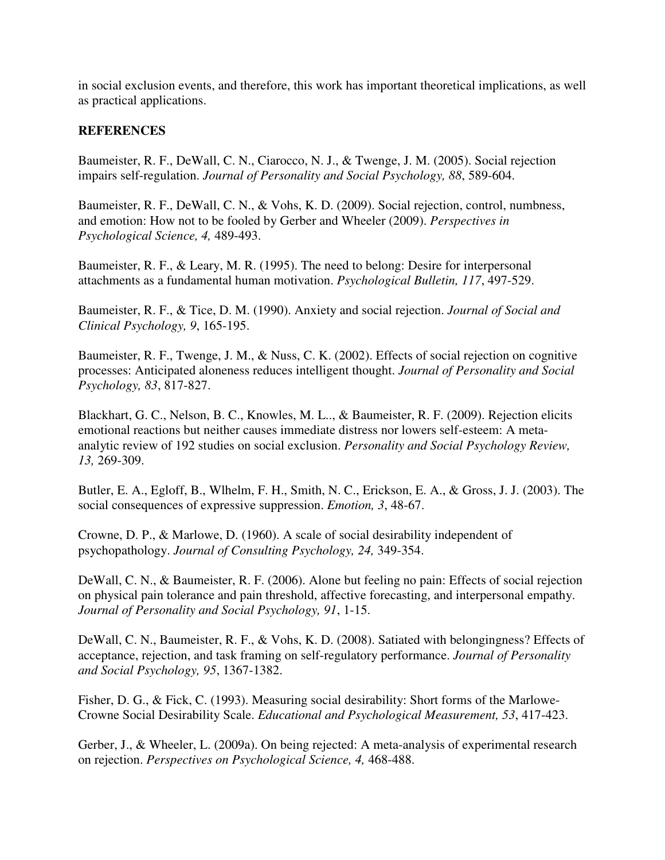in social exclusion events, and therefore, this work has important theoretical implications, as well as practical applications.

#### **REFERENCES**

Baumeister, R. F., DeWall, C. N., Ciarocco, N. J., & Twenge, J. M. (2005). Social rejection impairs self-regulation. *Journal of Personality and Social Psychology, 88*, 589-604.

Baumeister, R. F., DeWall, C. N., & Vohs, K. D. (2009). Social rejection, control, numbness, and emotion: How not to be fooled by Gerber and Wheeler (2009). *Perspectives in Psychological Science, 4,* 489-493.

Baumeister, R. F., & Leary, M. R. (1995). The need to belong: Desire for interpersonal attachments as a fundamental human motivation. *Psychological Bulletin, 117*, 497-529.

Baumeister, R. F., & Tice, D. M. (1990). Anxiety and social rejection. *Journal of Social and Clinical Psychology, 9*, 165-195.

Baumeister, R. F., Twenge, J. M., & Nuss, C. K. (2002). Effects of social rejection on cognitive processes: Anticipated aloneness reduces intelligent thought. *Journal of Personality and Social Psychology, 83*, 817-827.

Blackhart, G. C., Nelson, B. C., Knowles, M. L.., & Baumeister, R. F. (2009). Rejection elicits emotional reactions but neither causes immediate distress nor lowers self-esteem: A metaanalytic review of 192 studies on social exclusion. *Personality and Social Psychology Review, 13,* 269-309.

Butler, E. A., Egloff, B., Wlhelm, F. H., Smith, N. C., Erickson, E. A., & Gross, J. J. (2003). The social consequences of expressive suppression. *Emotion, 3*, 48-67.

Crowne, D. P., & Marlowe, D. (1960). A scale of social desirability independent of psychopathology. *Journal of Consulting Psychology, 24,* 349-354.

DeWall, C. N., & Baumeister, R. F. (2006). Alone but feeling no pain: Effects of social rejection on physical pain tolerance and pain threshold, affective forecasting, and interpersonal empathy. *Journal of Personality and Social Psychology, 91*, 1-15.

DeWall, C. N., Baumeister, R. F., & Vohs, K. D. (2008). Satiated with belongingness? Effects of acceptance, rejection, and task framing on self-regulatory performance. *Journal of Personality and Social Psychology, 95*, 1367-1382.

Fisher, D. G., & Fick, C. (1993). Measuring social desirability: Short forms of the Marlowe-Crowne Social Desirability Scale. *Educational and Psychological Measurement, 53*, 417-423.

Gerber, J., & Wheeler, L. (2009a). On being rejected: A meta-analysis of experimental research on rejection. *Perspectives on Psychological Science, 4,* 468-488.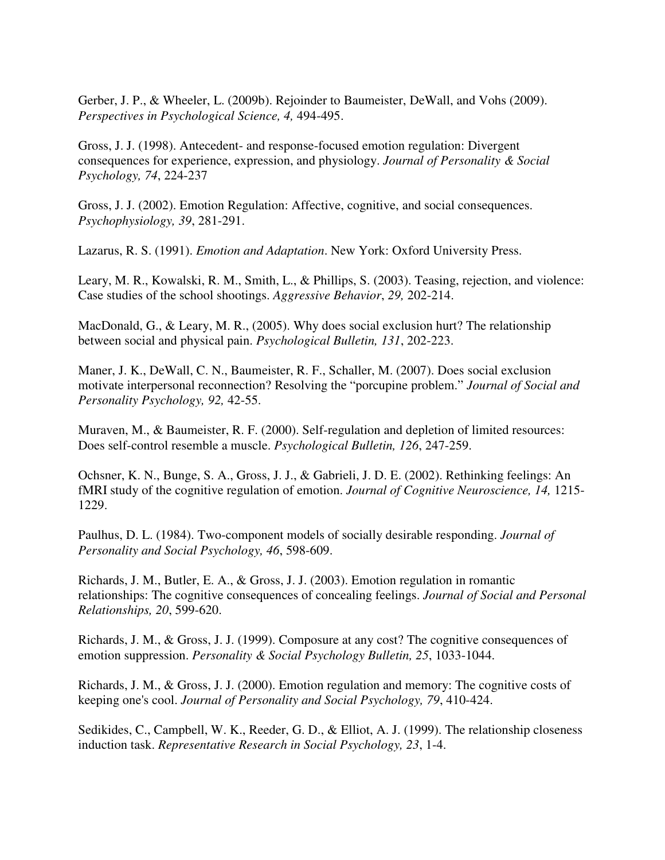Gerber, J. P., & Wheeler, L. (2009b). Rejoinder to Baumeister, DeWall, and Vohs (2009). *Perspectives in Psychological Science, 4,* 494-495.

Gross, J. J. (1998). Antecedent- and response-focused emotion regulation: Divergent consequences for experience, expression, and physiology. *Journal of Personality & Social Psychology, 74*, 224-237

Gross, J. J. (2002). Emotion Regulation: Affective, cognitive, and social consequences. *Psychophysiology, 39*, 281-291.

Lazarus, R. S. (1991). *Emotion and Adaptation*. New York: Oxford University Press.

Leary, M. R., Kowalski, R. M., Smith, L., & Phillips, S. (2003). Teasing, rejection, and violence: Case studies of the school shootings. *Aggressive Behavior*, *29,* 202-214.

MacDonald, G., & Leary, M. R., (2005). Why does social exclusion hurt? The relationship between social and physical pain. *Psychological Bulletin, 131*, 202-223.

Maner, J. K., DeWall, C. N., Baumeister, R. F., Schaller, M. (2007). Does social exclusion motivate interpersonal reconnection? Resolving the "porcupine problem." *Journal of Social and Personality Psychology, 92,* 42-55.

Muraven, M., & Baumeister, R. F. (2000). Self-regulation and depletion of limited resources: Does self-control resemble a muscle. *Psychological Bulletin, 126*, 247-259.

Ochsner, K. N., Bunge, S. A., Gross, J. J., & Gabrieli, J. D. E. (2002). Rethinking feelings: An fMRI study of the cognitive regulation of emotion. *Journal of Cognitive Neuroscience, 14,* 1215- 1229.

Paulhus, D. L. (1984). Two-component models of socially desirable responding. *Journal of Personality and Social Psychology, 46*, 598-609.

Richards, J. M., Butler, E. A., & Gross, J. J. (2003). Emotion regulation in romantic relationships: The cognitive consequences of concealing feelings. *Journal of Social and Personal Relationships, 20*, 599-620.

Richards, J. M., & Gross, J. J. (1999). Composure at any cost? The cognitive consequences of emotion suppression. *Personality & Social Psychology Bulletin, 25*, 1033-1044.

Richards, J. M., & Gross, J. J. (2000). Emotion regulation and memory: The cognitive costs of keeping one's cool. *Journal of Personality and Social Psychology, 79*, 410-424.

Sedikides, C., Campbell, W. K., Reeder, G. D., & Elliot, A. J. (1999). The relationship closeness induction task. *Representative Research in Social Psychology, 23*, 1-4.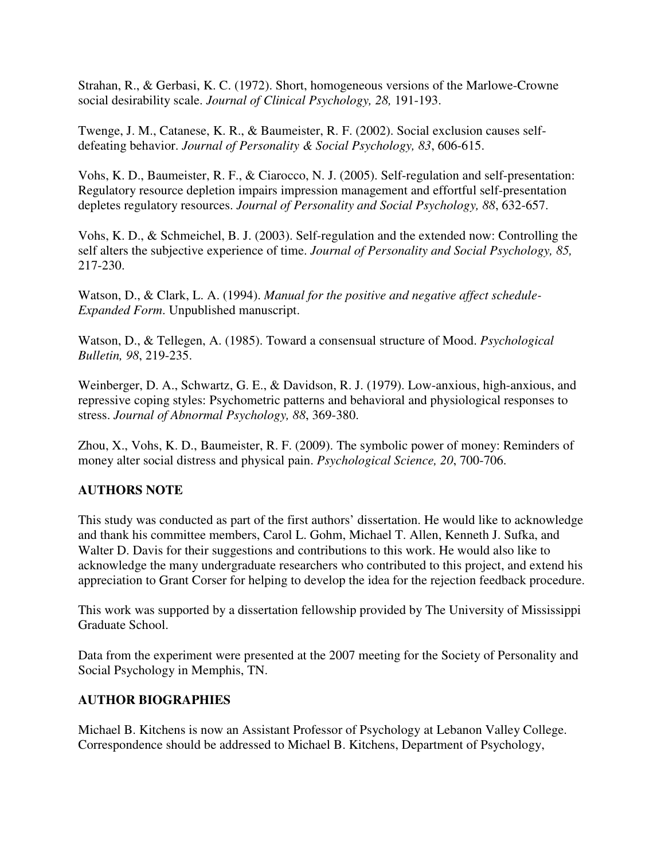Strahan, R., & Gerbasi, K. C. (1972). Short, homogeneous versions of the Marlowe-Crowne social desirability scale. *Journal of Clinical Psychology, 28,* 191-193.

Twenge, J. M., Catanese, K. R., & Baumeister, R. F. (2002). Social exclusion causes selfdefeating behavior. *Journal of Personality & Social Psychology, 83*, 606-615.

Vohs, K. D., Baumeister, R. F., & Ciarocco, N. J. (2005). Self-regulation and self-presentation: Regulatory resource depletion impairs impression management and effortful self-presentation depletes regulatory resources. *Journal of Personality and Social Psychology, 88*, 632-657.

Vohs, K. D., & Schmeichel, B. J. (2003). Self-regulation and the extended now: Controlling the self alters the subjective experience of time. *Journal of Personality and Social Psychology, 85,* 217-230.

Watson, D., & Clark, L. A. (1994). *Manual for the positive and negative affect schedule-Expanded Form*. Unpublished manuscript.

Watson, D., & Tellegen, A. (1985). Toward a consensual structure of Mood. *Psychological Bulletin, 98*, 219-235.

Weinberger, D. A., Schwartz, G. E., & Davidson, R. J. (1979). Low-anxious, high-anxious, and repressive coping styles: Psychometric patterns and behavioral and physiological responses to stress. *Journal of Abnormal Psychology, 88*, 369-380.

Zhou, X., Vohs, K. D., Baumeister, R. F. (2009). The symbolic power of money: Reminders of money alter social distress and physical pain. *Psychological Science, 20*, 700-706.

## **AUTHORS NOTE**

This study was conducted as part of the first authors' dissertation. He would like to acknowledge and thank his committee members, Carol L. Gohm, Michael T. Allen, Kenneth J. Sufka, and Walter D. Davis for their suggestions and contributions to this work. He would also like to acknowledge the many undergraduate researchers who contributed to this project, and extend his appreciation to Grant Corser for helping to develop the idea for the rejection feedback procedure.

This work was supported by a dissertation fellowship provided by The University of Mississippi Graduate School.

Data from the experiment were presented at the 2007 meeting for the Society of Personality and Social Psychology in Memphis, TN.

## **AUTHOR BIOGRAPHIES**

Michael B. Kitchens is now an Assistant Professor of Psychology at Lebanon Valley College. Correspondence should be addressed to Michael B. Kitchens, Department of Psychology,